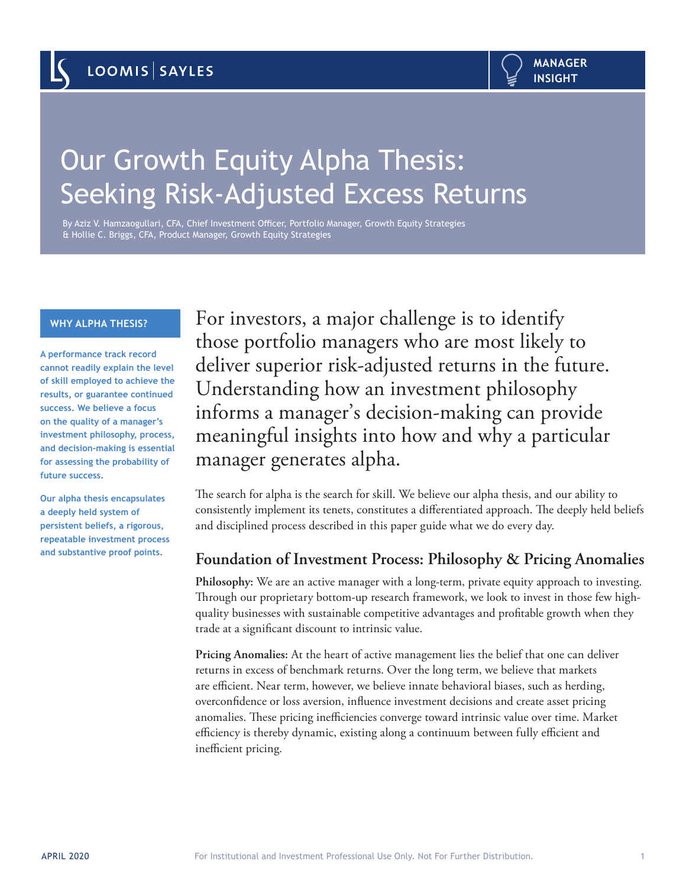# Our Growth Equity Alpha Thesis: Seeking Risk-Adjusted Excess Returns

By Aziz V. Hamzaogullari, CFA, Chief Investment Officer, Portfolio Manager, Growth Equity Strategies & Hollie C. Briggs, CFA, Product Manager, Growth Equity Strategies

## **WHY ALPHA THESIS?**

**A performance track record cannot readily explain the level of skill employed to achieve the results, or guarantee continued success. We believe a focus on the quality of a manager's investment philosophy, process, and decision-making is essential for assessing the probability of future success.** 

**Our alpha thesis encapsulates a deeply held system of persistent beliefs, a rigorous, repeatable investment process and substantive proof points.** 

For investors, a major challenge is to identify those portfolio managers who are most likely to deliver superior risk-adjusted returns in the future. Understanding how an investment philosophy informs a manager's decision-making can provide meaningful insights into how and why a particular manager generates alpha.

The search for alpha is the search for skill. We believe our alpha thesis, and our ability to consistently implement its tenets, constitutes a differentiated approach. The deeply held beliefs and disciplined process described in this paper guide what we do every day.

# **Foundation of Investment Process: Philosophy & Pricing Anomalies**

**Philosophy:** We are an active manager with a long-term, private equity approach to investing. Through our proprietary bottom-up research framework, we look to invest in those few highquality businesses with sustainable competitive advantages and profitable growth when they trade at a significant discount to intrinsic value.

**Pricing Anomalies:** At the heart of active management lies the belief that one can deliver returns in excess of benchmark returns. Over the long term, we believe that markets are efficient. Near term, however, we believe innate behavioral biases, such as herding, overconfidence or loss aversion, influence investment decisions and create asset pricing anomalies. These pricing inefficiencies converge toward intrinsic value over time. Market efficiency is thereby dynamic, existing along a continuum between fully efficient and inefficient pricing.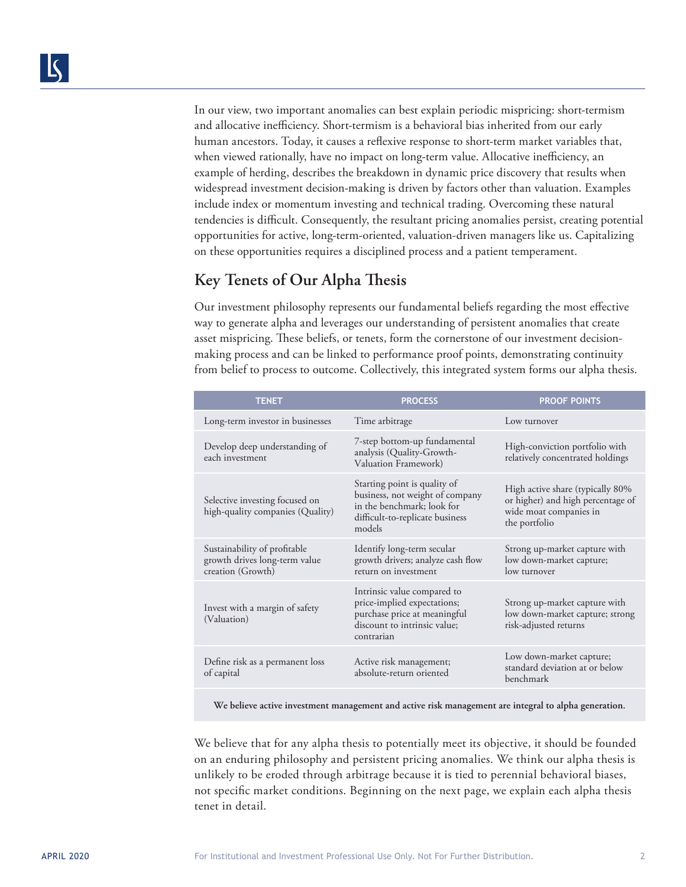In our view, two important anomalies can best explain periodic mispricing: short-termism and allocative inefficiency. Short-termism is a behavioral bias inherited from our early human ancestors. Today, it causes a reflexive response to short-term market variables that, when viewed rationally, have no impact on long-term value. Allocative inefficiency, an example of herding, describes the breakdown in dynamic price discovery that results when widespread investment decision-making is driven by factors other than valuation. Examples include index or momentum investing and technical trading. Overcoming these natural tendencies is difficult. Consequently, the resultant pricing anomalies persist, creating potential opportunities for active, long-term-oriented, valuation-driven managers like us. Capitalizing on these opportunities requires a disciplined process and a patient temperament.

# **Key Tenets of Our Alpha Thesis**

Our investment philosophy represents our fundamental beliefs regarding the most effective way to generate alpha and leverages our understanding of persistent anomalies that create asset mispricing. These beliefs, or tenets, form the cornerstone of our investment decisionmaking process and can be linked to performance proof points, demonstrating continuity from belief to process to outcome. Collectively, this integrated system forms our alpha thesis.

| <b>TENET</b>                                                                       | <b>PROCESS</b>                                                                                                                             | <b>PROOF POINTS</b>                                                                                              |
|------------------------------------------------------------------------------------|--------------------------------------------------------------------------------------------------------------------------------------------|------------------------------------------------------------------------------------------------------------------|
| Long-term investor in businesses                                                   | Time arbitrage                                                                                                                             | Low turnover                                                                                                     |
| Develop deep understanding of<br>each investment                                   | 7-step bottom-up fundamental<br>analysis (Quality-Growth-<br>Valuation Framework)                                                          | High-conviction portfolio with<br>relatively concentrated holdings                                               |
| Selective investing focused on<br>high-quality companies (Quality)                 | Starting point is quality of<br>business, not weight of company<br>in the benchmark; look for<br>difficult-to-replicate business<br>models | High active share (typically 80%<br>or higher) and high percentage of<br>wide moat companies in<br>the portfolio |
| Sustainability of profitable<br>growth drives long-term value<br>creation (Growth) | Identify long-term secular<br>growth drivers; analyze cash flow<br>return on investment                                                    | Strong up-market capture with<br>low down-market capture;<br>low turnover                                        |
| Invest with a margin of safety<br>(Valuation)                                      | Intrinsic value compared to<br>price-implied expectations;<br>purchase price at meaningful<br>discount to intrinsic value;<br>contrarian   | Strong up-market capture with<br>low down-market capture; strong<br>risk-adjusted returns                        |
| Define risk as a permanent loss<br>of capital                                      | Active risk management;<br>absolute-return oriented                                                                                        | Low down-market capture;<br>standard deviation at or below<br>benchmark                                          |

**We believe active investment management and active risk management are integral to alpha generation.**

We believe that for any alpha thesis to potentially meet its objective, it should be founded on an enduring philosophy and persistent pricing anomalies. We think our alpha thesis is unlikely to be eroded through arbitrage because it is tied to perennial behavioral biases, not specific market conditions. Beginning on the next page, we explain each alpha thesis tenet in detail.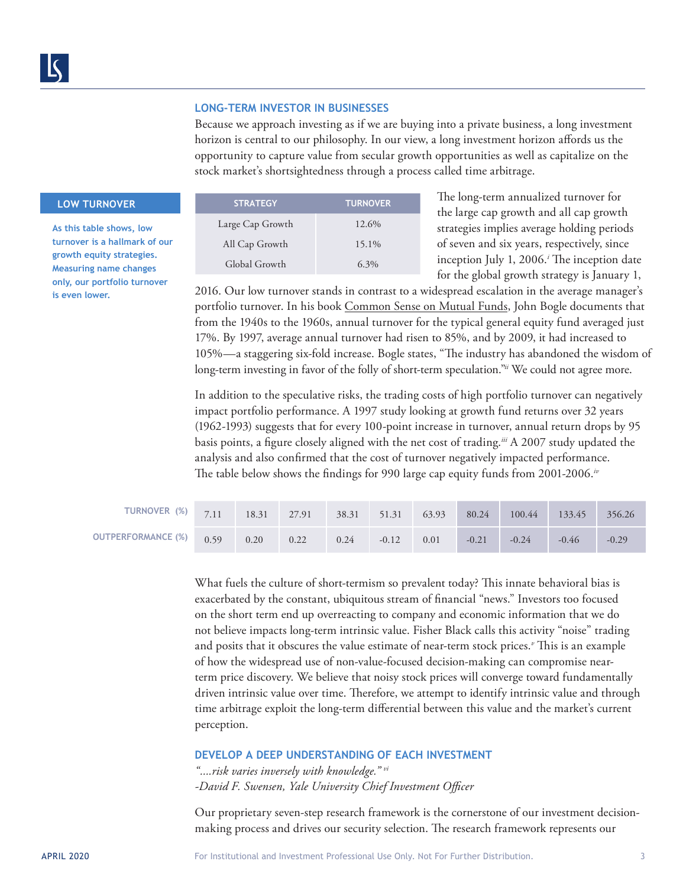#### **LONG-TERM INVESTOR IN BUSINESSES**

Because we approach investing as if we are buying into a private business, a long investment horizon is central to our philosophy. In our view, a long investment horizon affords us the opportunity to capture value from secular growth opportunities as well as capitalize on the stock market's shortsightedness through a process called time arbitrage.

# **LOW TURNOVER**

**As this table shows, low turnover is a hallmark of our growth equity strategies. Measuring name changes only, our portfolio turnover is even lower.** 

| <b>STRATEGY</b>  | <b>TURNOVER</b> |  |
|------------------|-----------------|--|
| Large Cap Growth | 12.6%           |  |
| All Cap Growth   | 15.1%           |  |
| Global Growth    | $6.3\%$         |  |

The long-term annualized turnover for the large cap growth and all cap growth strategies implies average holding periods of seven and six years, respectively, since inception July 1, 2006.*<sup>i</sup>* The inception date for the global growth strategy is January 1,

2016. Our low turnover stands in contrast to a widespread escalation in the average manager's portfolio turnover. In his book Common Sense on Mutual Funds, John Bogle documents that from the 1940s to the 1960s, annual turnover for the typical general equity fund averaged just 17%. By 1997, average annual turnover had risen to 85%, and by 2009, it had increased to 105%—a staggering six-fold increase. Bogle states, "The industry has abandoned the wisdom of long-term investing in favor of the folly of short-term speculation."*ii* We could not agree more.

In addition to the speculative risks, the trading costs of high portfolio turnover can negatively impact portfolio performance. A 1997 study looking at growth fund returns over 32 years (1962-1993) suggests that for every 100-point increase in turnover, annual return drops by 95 basis points, a figure closely aligned with the net cost of trading.*iii* A 2007 study updated the analysis and also confirmed that the cost of turnover negatively impacted performance. The table below shows the findings for 990 large cap equity funds from 2001-2006.*iv*

| TURNOVER $\frac{(%)}{7.11}$ |      | 18.31 27.91 |      |      | 38.31 51.31 | 63.93 | 80.24   | 100.44  | 133.45  | 356.26  |
|-----------------------------|------|-------------|------|------|-------------|-------|---------|---------|---------|---------|
| <b>OUTPERFORMANCE (%)</b>   | 0.59 | 0.20        | 0.22 | 0.24 | $-0.12$     | 0.01  | $-0.21$ | $-0.24$ | $-0.46$ | $-0.29$ |

What fuels the culture of short-termism so prevalent today? This innate behavioral bias is exacerbated by the constant, ubiquitous stream of financial "news." Investors too focused on the short term end up overreacting to company and economic information that we do not believe impacts long-term intrinsic value. Fisher Black calls this activity "noise" trading and posits that it obscures the value estimate of near-term stock prices.*<sup>v</sup>* This is an example of how the widespread use of non-value-focused decision-making can compromise nearterm price discovery. We believe that noisy stock prices will converge toward fundamentally driven intrinsic value over time. Therefore, we attempt to identify intrinsic value and through time arbitrage exploit the long-term differential between this value and the market's current perception.

## **DEVELOP A DEEP UNDERSTANDING OF EACH INVESTMENT**

*"....risk varies inversely with knowledge." vi -David F. Swensen, Yale University Chief Investment Officer*

Our proprietary seven-step research framework is the cornerstone of our investment decisionmaking process and drives our security selection. The research framework represents our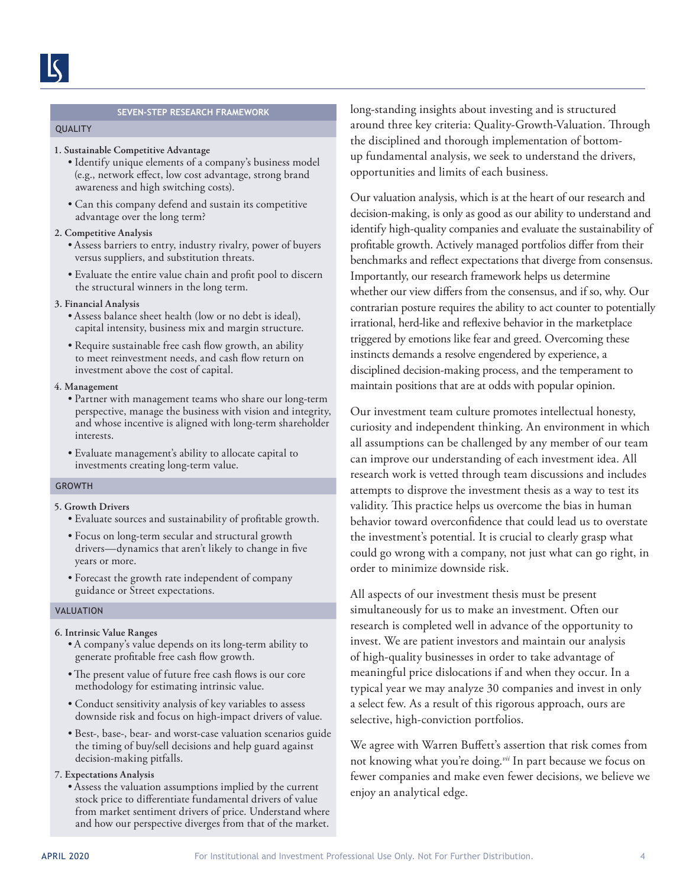#### **SEVEN-STEP RESEARCH FRAMEWORK**

#### QUALITY

#### **1. Sustainable Competitive Advantage**

- Identify unique elements of a company's business model (e.g., network effect, low cost advantage, strong brand awareness and high switching costs).
- Can this company defend and sustain its competitive advantage over the long term?

#### **2. Competitive Analysis**

- Assess barriers to entry, industry rivalry, power of buyers versus suppliers, and substitution threats.
- Evaluate the entire value chain and profit pool to discern the structural winners in the long term.
- **3. Financial Analysis**
	- Assess balance sheet health (low or no debt is ideal), capital intensity, business mix and margin structure.
	- Require sustainable free cash flow growth, an ability to meet reinvestment needs, and cash flow return on investment above the cost of capital.

#### **4. Management**

- Partner with management teams who share our long-term perspective, manage the business with vision and integrity, and whose incentive is aligned with long-term shareholder interests.
- Evaluate management's ability to allocate capital to investments creating long-term value.

#### GROWTH

## **5. Growth Drivers**

- Evaluate sources and sustainability of profitable growth.
- Focus on long-term secular and structural growth drivers—dynamics that aren't likely to change in five years or more.
- Forecast the growth rate independent of company guidance or Street expectations.

#### VALUATION

# **6. Intrinsic Value Ranges**

- A company's value depends on its long-term ability to generate profitable free cash flow growth.
- •The present value of future free cash flows is our core methodology for estimating intrinsic value.
- Conduct sensitivity analysis of key variables to assess downside risk and focus on high-impact drivers of value.
- Best-, base-, bear- and worst-case valuation scenarios guide the timing of buy/sell decisions and help guard against decision-making pitfalls.

# **7. Expectations Analysis**

• Assess the valuation assumptions implied by the current stock price to differentiate fundamental drivers of value from market sentiment drivers of price. Understand where and how our perspective diverges from that of the market.

long-standing insights about investing and is structured around three key criteria: Quality-Growth-Valuation. Through the disciplined and thorough implementation of bottomup fundamental analysis, we seek to understand the drivers, opportunities and limits of each business.

Our valuation analysis, which is at the heart of our research and decision-making, is only as good as our ability to understand and identify high-quality companies and evaluate the sustainability of profitable growth. Actively managed portfolios differ from their benchmarks and reflect expectations that diverge from consensus. Importantly, our research framework helps us determine whether our view differs from the consensus, and if so, why. Our contrarian posture requires the ability to act counter to potentially irrational, herd-like and reflexive behavior in the marketplace triggered by emotions like fear and greed. Overcoming these instincts demands a resolve engendered by experience, a disciplined decision-making process, and the temperament to maintain positions that are at odds with popular opinion.

Our investment team culture promotes intellectual honesty, curiosity and independent thinking. An environment in which all assumptions can be challenged by any member of our team can improve our understanding of each investment idea. All research work is vetted through team discussions and includes attempts to disprove the investment thesis as a way to test its validity. This practice helps us overcome the bias in human behavior toward overconfidence that could lead us to overstate the investment's potential. It is crucial to clearly grasp what could go wrong with a company, not just what can go right, in order to minimize downside risk.

All aspects of our investment thesis must be present simultaneously for us to make an investment. Often our research is completed well in advance of the opportunity to invest. We are patient investors and maintain our analysis of high-quality businesses in order to take advantage of meaningful price dislocations if and when they occur. In a typical year we may analyze 30 companies and invest in only a select few. As a result of this rigorous approach, ours are selective, high-conviction portfolios.

We agree with Warren Buffett's assertion that risk comes from not knowing what you're doing.*vii* In part because we focus on fewer companies and make even fewer decisions, we believe we enjoy an analytical edge.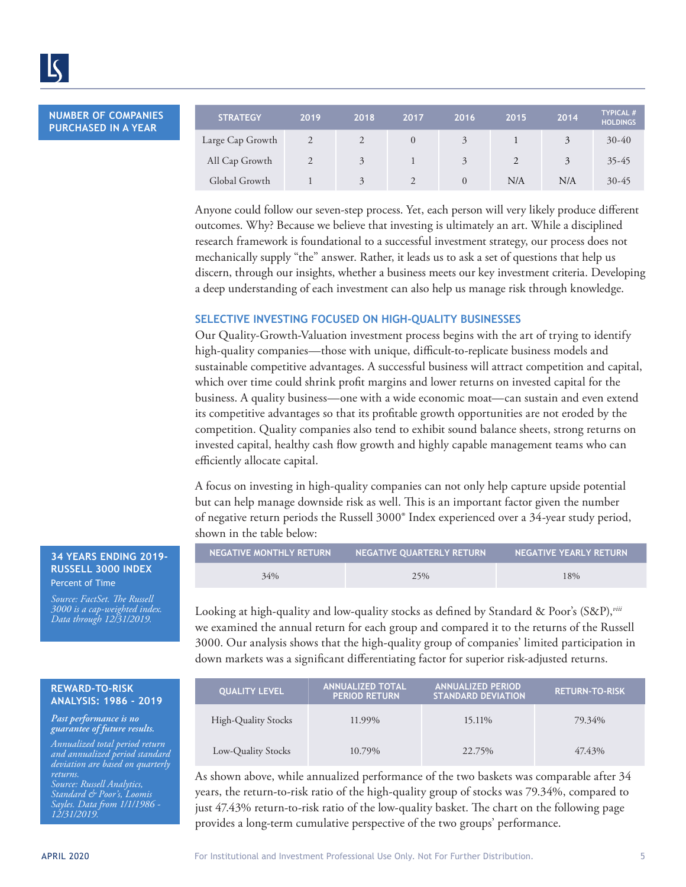**NUMBER OF COMPANIES PURCHASED IN A YEAR**

l

| <b>STRATEGY</b>  | 2019 | 2018          | 2017          | 2016     | 2015 | 2014 | <b>TYPICAL #</b><br><b>HOLDINGS</b> |
|------------------|------|---------------|---------------|----------|------|------|-------------------------------------|
| Large Cap Growth |      |               | $\Omega$      | 3        |      | 3    | $30-40$                             |
| All Cap Growth   |      | 3             |               | 3        |      | 3    | $35 - 45$                           |
| Global Growth    |      | $\mathcal{R}$ | $\mathcal{L}$ | $\Omega$ | N/A  | N/A  | $30 - 45$                           |

Anyone could follow our seven-step process. Yet, each person will very likely produce different outcomes. Why? Because we believe that investing is ultimately an art. While a disciplined research framework is foundational to a successful investment strategy, our process does not mechanically supply "the" answer. Rather, it leads us to ask a set of questions that help us discern, through our insights, whether a business meets our key investment criteria. Developing a deep understanding of each investment can also help us manage risk through knowledge.

# **SELECTIVE INVESTING FOCUSED ON HIGH-QUALITY BUSINESSES**

Our Quality-Growth-Valuation investment process begins with the art of trying to identify high-quality companies—those with unique, difficult-to-replicate business models and sustainable competitive advantages. A successful business will attract competition and capital, which over time could shrink profit margins and lower returns on invested capital for the business. A quality business—one with a wide economic moat—can sustain and even extend its competitive advantages so that its profitable growth opportunities are not eroded by the competition. Quality companies also tend to exhibit sound balance sheets, strong returns on invested capital, healthy cash flow growth and highly capable management teams who can efficiently allocate capital.

A focus on investing in high-quality companies can not only help capture upside potential but can help manage downside risk as well. This is an important factor given the number of negative return periods the Russell 3000® Index experienced over a 34-year study period, shown in the table below:

| NEGATIVE MONTHLY RETURN | NEGATIVE QUARTERLY RETURN | NEGATIVE YEARLY RETURN |
|-------------------------|---------------------------|------------------------|
| 34%                     | 25%                       | 18%                    |

Looking at high-quality and low-quality stocks as defined by Standard & Poor's (S&P),*viii* we examined the annual return for each group and compared it to the returns of the Russell 3000. Our analysis shows that the high-quality group of companies' limited participation in down markets was a significant differentiating factor for superior risk-adjusted returns.

| <b>QUALITY LEVEL</b>       | <b>ANNUALIZED TOTAL</b><br><b>PERIOD RETURN</b> | <b>ANNUALIZED PERIOD</b><br><b>STANDARD DEVIATION</b> | <b>RETURN-TO-RISK</b> |
|----------------------------|-------------------------------------------------|-------------------------------------------------------|-----------------------|
| <b>High-Quality Stocks</b> | 11.99%                                          | 15.11\%                                               | 79.34%                |
| Low-Quality Stocks         | 10.79%                                          | 22.75%                                                | 47.43%                |

As shown above, while annualized performance of the two baskets was comparable after 34 years, the return-to-risk ratio of the high-quality group of stocks was 79.34%, compared to just 47.43% return-to-risk ratio of the low-quality basket. The chart on the following page provides a long-term cumulative perspective of the two groups' performance.

#### **34 YEARS ENDING 2019- RUSSELL 3000 INDEX** Percent of Time

*Source: FactSet. The Russell 3000 is a cap-weighted index. Data through 12/31/2019.*

#### **REWARD-TO-RISK ANALYSIS: 1986 - 2019**

*Past performance is no guarantee of future results.* 

*Annualized total period return and annualized period standard deviation are based on quarterly returns. Source: Russell Analytics, Standard & Poor's, Loomis Sayles. Data from 1/1/1986 - 12/31/2019.*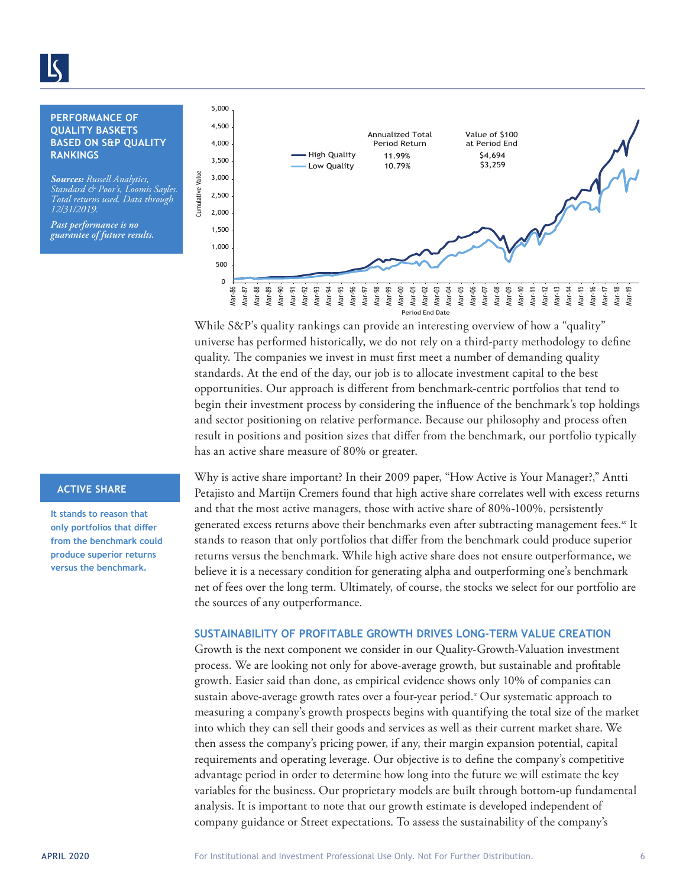# **PERFORMANCE OF QUALITY BASKETS BASED ON S&P QUALITY**

*Sources: Russell Analytics, Standard & Poor's, Loomis Sayles. Total returns used. Data through 12/31/2019.*

*Past performance is no guarantee of future results.* 



While S&P's quality rankings can provide an interesting overview of how a "quality" universe has performed historically, we do not rely on a third-party methodology to define quality. The companies we invest in must first meet a number of demanding quality standards. At the end of the day, our job is to allocate investment capital to the best opportunities. Our approach is different from benchmark-centric portfolios that tend to begin their investment process by considering the influence of the benchmark's top holdings and sector positioning on relative performance. Because our philosophy and process often result in positions and position sizes that differ from the benchmark, our portfolio typically has an active share measure of 80% or greater.

# **ACTIVE SHARE**

**It stands to reason that only portfolios that differ from the benchmark could produce superior returns versus the benchmark.** 

Why is active share important? In their 2009 paper, "How Active is Your Manager?," Antti Petajisto and Martijn Cremers found that high active share correlates well with excess returns and that the most active managers, those with active share of 80%-100%, persistently generated excess returns above their benchmarks even after subtracting management fees.*ix* It stands to reason that only portfolios that differ from the benchmark could produce superior returns versus the benchmark. While high active share does not ensure outperformance, we believe it is a necessary condition for generating alpha and outperforming one's benchmark net of fees over the long term. Ultimately, of course, the stocks we select for our portfolio are the sources of any outperformance.

# **SUSTAINABILITY OF PROFITABLE GROWTH DRIVES LONG-TERM VALUE CREATION**

Growth is the next component we consider in our Quality-Growth-Valuation investment process. We are looking not only for above-average growth, but sustainable and profitable growth. Easier said than done, as empirical evidence shows only 10% of companies can sustain above-average growth rates over a four-year period.*<sup>x</sup>* Our systematic approach to measuring a company's growth prospects begins with quantifying the total size of the market into which they can sell their goods and services as well as their current market share. We then assess the company's pricing power, if any, their margin expansion potential, capital requirements and operating leverage. Our objective is to define the company's competitive advantage period in order to determine how long into the future we will estimate the key variables for the business. Our proprietary models are built through bottom-up fundamental analysis. It is important to note that our growth estimate is developed independent of company guidance or Street expectations. To assess the sustainability of the company's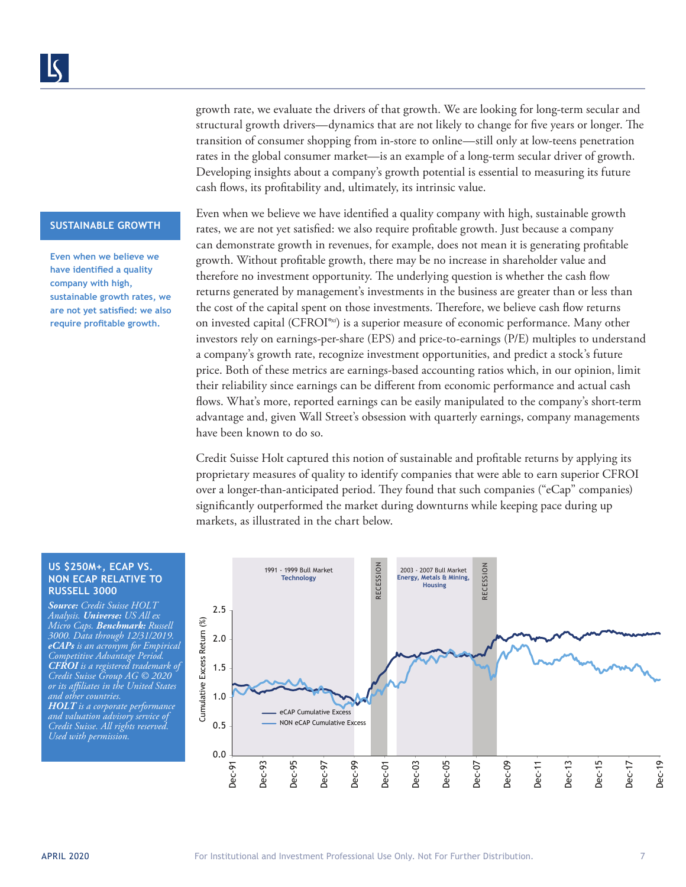# growth rate, we evaluate the drivers of that growth. We are looking for long-term secular and structural growth drivers—dynamics that are not likely to change for five years or longer. The transition of consumer shopping from in-store to online—still only at low-teens penetration rates in the global consumer market—is an example of a long-term secular driver of growth. Developing insights about a company's growth potential is essential to measuring its future cash flows, its profitability and, ultimately, its intrinsic value.

#### **SUSTAINABLE GROWTH**

**Even when we believe we have identified a quality company with high, sustainable growth rates, we are not yet satisfied: we also require profitable growth.**

Even when we believe we have identified a quality company with high, sustainable growth rates, we are not yet satisfied: we also require profitable growth. Just because a company can demonstrate growth in revenues, for example, does not mean it is generating profitable growth. Without profitable growth, there may be no increase in shareholder value and therefore no investment opportunity. The underlying question is whether the cash flow returns generated by management's investments in the business are greater than or less than the cost of the capital spent on those investments. Therefore, we believe cash flow returns on invested capital (CFROI®*xi*) is a superior measure of economic performance. Many other investors rely on earnings-per-share (EPS) and price-to-earnings (P/E) multiples to understand a company's growth rate, recognize investment opportunities, and predict a stock's future price. Both of these metrics are earnings-based accounting ratios which, in our opinion, limit their reliability since earnings can be different from economic performance and actual cash flows. What's more, reported earnings can be easily manipulated to the company's short-term advantage and, given Wall Street's obsession with quarterly earnings, company managements have been known to do so.

Credit Suisse Holt captured this notion of sustainable and profitable returns by applying its proprietary measures of quality to identify companies that were able to earn superior CFROI over a longer-than-anticipated period. They found that such companies ("eCap" companies) significantly outperformed the market during downturns while keeping pace during up markets, as illustrated in the chart below.

#### **US \$250M+, ECAP VS. NON ECAP RELATIVE TO RUSSELL 3000**

*Source: Credit Suisse HOLT Analysis. Universe: US All ex Micro Caps. Benchmark: Russell 3000. Data through 12/31/2019. eCAPs is an acronym for Empirical Competitive Advantage Period. CFROI is a registered trademark of Credit Suisse Group AG © 2020 or its affiliates in the United States and other countries. HOLT is a corporate performance and valuation advisory service of Credit Suisse. All rights reserved. Used with permission.*

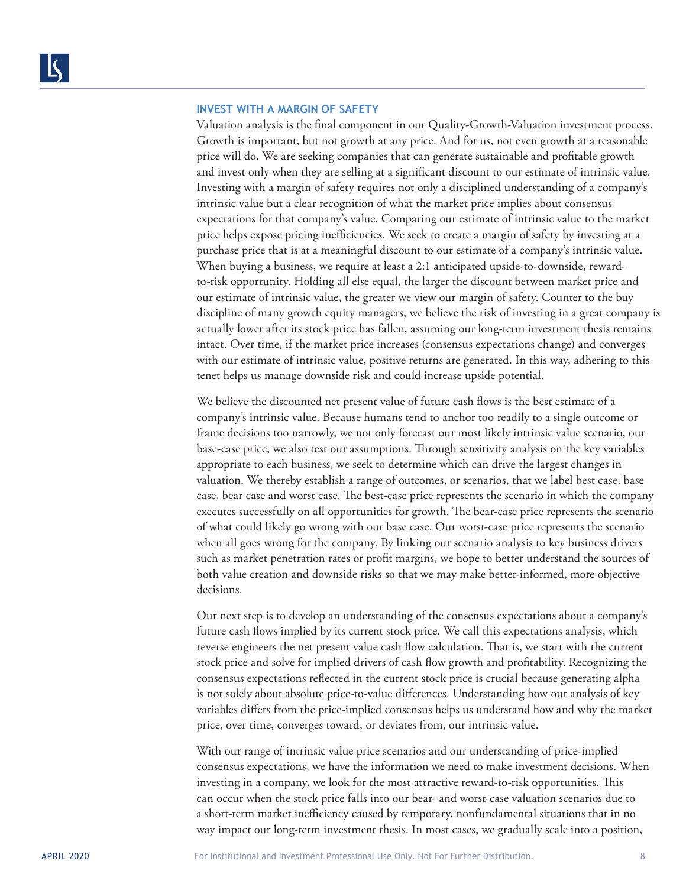## **INVEST WITH A MARGIN OF SAFETY**

Valuation analysis is the final component in our Quality-Growth-Valuation investment process. Growth is important, but not growth at any price. And for us, not even growth at a reasonable price will do. We are seeking companies that can generate sustainable and profitable growth and invest only when they are selling at a significant discount to our estimate of intrinsic value. Investing with a margin of safety requires not only a disciplined understanding of a company's intrinsic value but a clear recognition of what the market price implies about consensus expectations for that company's value. Comparing our estimate of intrinsic value to the market price helps expose pricing inefficiencies. We seek to create a margin of safety by investing at a purchase price that is at a meaningful discount to our estimate of a company's intrinsic value. When buying a business, we require at least a 2:1 anticipated upside-to-downside, rewardto-risk opportunity. Holding all else equal, the larger the discount between market price and our estimate of intrinsic value, the greater we view our margin of safety. Counter to the buy discipline of many growth equity managers, we believe the risk of investing in a great company is actually lower after its stock price has fallen, assuming our long-term investment thesis remains intact. Over time, if the market price increases (consensus expectations change) and converges with our estimate of intrinsic value, positive returns are generated. In this way, adhering to this tenet helps us manage downside risk and could increase upside potential.

We believe the discounted net present value of future cash flows is the best estimate of a company's intrinsic value. Because humans tend to anchor too readily to a single outcome or frame decisions too narrowly, we not only forecast our most likely intrinsic value scenario, our base-case price, we also test our assumptions. Through sensitivity analysis on the key variables appropriate to each business, we seek to determine which can drive the largest changes in valuation. We thereby establish a range of outcomes, or scenarios, that we label best case, base case, bear case and worst case. The best-case price represents the scenario in which the company executes successfully on all opportunities for growth. The bear-case price represents the scenario of what could likely go wrong with our base case. Our worst-case price represents the scenario when all goes wrong for the company. By linking our scenario analysis to key business drivers such as market penetration rates or profit margins, we hope to better understand the sources of both value creation and downside risks so that we may make better-informed, more objective decisions.

Our next step is to develop an understanding of the consensus expectations about a company's future cash flows implied by its current stock price. We call this expectations analysis, which reverse engineers the net present value cash flow calculation. That is, we start with the current stock price and solve for implied drivers of cash flow growth and profitability. Recognizing the consensus expectations reflected in the current stock price is crucial because generating alpha is not solely about absolute price-to-value differences. Understanding how our analysis of key variables differs from the price-implied consensus helps us understand how and why the market price, over time, converges toward, or deviates from, our intrinsic value.

With our range of intrinsic value price scenarios and our understanding of price-implied consensus expectations, we have the information we need to make investment decisions. When investing in a company, we look for the most attractive reward-to-risk opportunities. This can occur when the stock price falls into our bear- and worst-case valuation scenarios due to a short-term market inefficiency caused by temporary, nonfundamental situations that in no way impact our long-term investment thesis. In most cases, we gradually scale into a position,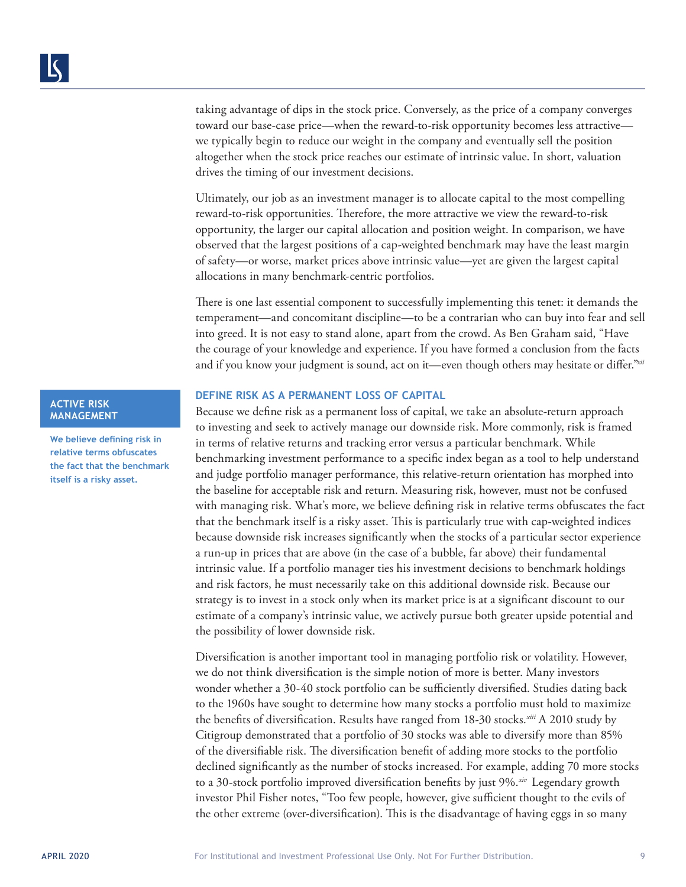taking advantage of dips in the stock price. Conversely, as the price of a company converges toward our base-case price—when the reward-to-risk opportunity becomes less attractive we typically begin to reduce our weight in the company and eventually sell the position altogether when the stock price reaches our estimate of intrinsic value. In short, valuation drives the timing of our investment decisions.

Ultimately, our job as an investment manager is to allocate capital to the most compelling reward-to-risk opportunities. Therefore, the more attractive we view the reward-to-risk opportunity, the larger our capital allocation and position weight. In comparison, we have observed that the largest positions of a cap-weighted benchmark may have the least margin of safety—or worse, market prices above intrinsic value—yet are given the largest capital allocations in many benchmark-centric portfolios.

There is one last essential component to successfully implementing this tenet: it demands the temperament—and concomitant discipline—to be a contrarian who can buy into fear and sell into greed. It is not easy to stand alone, apart from the crowd. As Ben Graham said, "Have the courage of your knowledge and experience. If you have formed a conclusion from the facts and if you know your judgment is sound, act on it—even though others may hesitate or differ."*xii*

## **DEFINE RISK AS A PERMANENT LOSS OF CAPITAL**

Because we define risk as a permanent loss of capital, we take an absolute-return approach to investing and seek to actively manage our downside risk. More commonly, risk is framed in terms of relative returns and tracking error versus a particular benchmark. While benchmarking investment performance to a specific index began as a tool to help understand and judge portfolio manager performance, this relative-return orientation has morphed into the baseline for acceptable risk and return. Measuring risk, however, must not be confused with managing risk. What's more, we believe defining risk in relative terms obfuscates the fact that the benchmark itself is a risky asset. This is particularly true with cap-weighted indices because downside risk increases significantly when the stocks of a particular sector experience a run-up in prices that are above (in the case of a bubble, far above) their fundamental intrinsic value. If a portfolio manager ties his investment decisions to benchmark holdings and risk factors, he must necessarily take on this additional downside risk. Because our strategy is to invest in a stock only when its market price is at a significant discount to our estimate of a company's intrinsic value, we actively pursue both greater upside potential and the possibility of lower downside risk.

Diversification is another important tool in managing portfolio risk or volatility. However, we do not think diversification is the simple notion of more is better. Many investors wonder whether a 30-40 stock portfolio can be sufficiently diversified. Studies dating back to the 1960s have sought to determine how many stocks a portfolio must hold to maximize the benefits of diversification. Results have ranged from 18-30 stocks.*xiii* A 2010 study by Citigroup demonstrated that a portfolio of 30 stocks was able to diversify more than 85% of the diversifiable risk. The diversification benefit of adding more stocks to the portfolio declined significantly as the number of stocks increased. For example, adding 70 more stocks to a 30-stock portfolio improved diversification benefits by just 9%.*xiv* Legendary growth investor Phil Fisher notes, "Too few people, however, give sufficient thought to the evils of the other extreme (over-diversification). This is the disadvantage of having eggs in so many

# **ACTIVE RISK MANAGEMENT**

**We believe defining risk in relative terms obfuscates the fact that the benchmark itself is a risky asset.**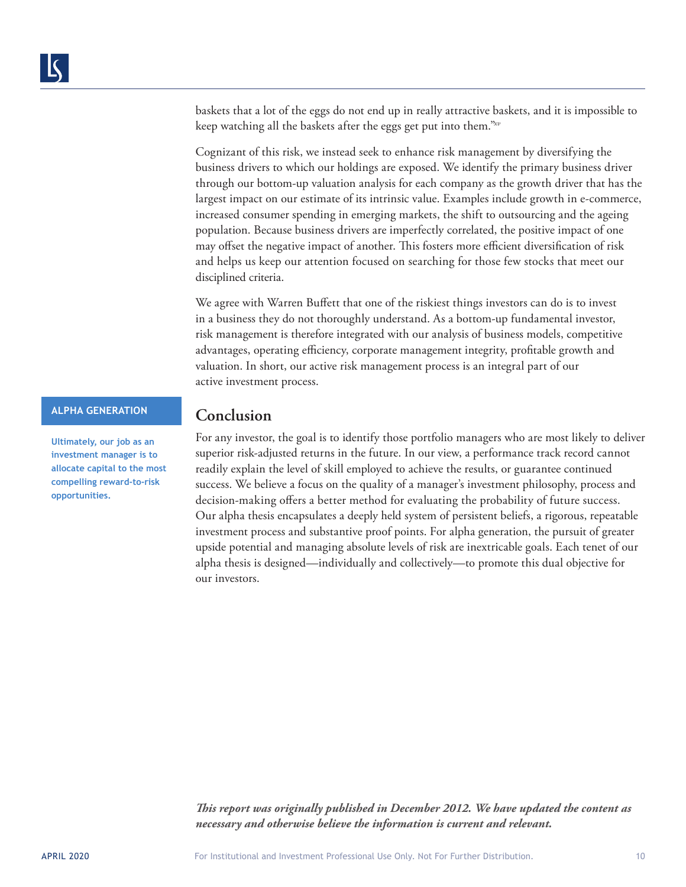baskets that a lot of the eggs do not end up in really attractive baskets, and it is impossible to keep watching all the baskets after the eggs get put into them."*xv*

Cognizant of this risk, we instead seek to enhance risk management by diversifying the business drivers to which our holdings are exposed. We identify the primary business driver through our bottom-up valuation analysis for each company as the growth driver that has the largest impact on our estimate of its intrinsic value. Examples include growth in e-commerce, increased consumer spending in emerging markets, the shift to outsourcing and the ageing population. Because business drivers are imperfectly correlated, the positive impact of one may offset the negative impact of another. This fosters more efficient diversification of risk and helps us keep our attention focused on searching for those few stocks that meet our disciplined criteria.

We agree with Warren Buffett that one of the riskiest things investors can do is to invest in a business they do not thoroughly understand. As a bottom-up fundamental investor, risk management is therefore integrated with our analysis of business models, competitive advantages, operating efficiency, corporate management integrity, profitable growth and valuation. In short, our active risk management process is an integral part of our active investment process.

# **ALPHA GENERATION**

**Ultimately, our job as an investment manager is to allocate capital to the most compelling reward-to-risk opportunities.**

# **Conclusion**

For any investor, the goal is to identify those portfolio managers who are most likely to deliver superior risk-adjusted returns in the future. In our view, a performance track record cannot readily explain the level of skill employed to achieve the results, or guarantee continued success. We believe a focus on the quality of a manager's investment philosophy, process and decision-making offers a better method for evaluating the probability of future success. Our alpha thesis encapsulates a deeply held system of persistent beliefs, a rigorous, repeatable investment process and substantive proof points. For alpha generation, the pursuit of greater upside potential and managing absolute levels of risk are inextricable goals. Each tenet of our alpha thesis is designed—individually and collectively—to promote this dual objective for our investors.

*This report was originally published in December 2012. We have updated the content as necessary and otherwise believe the information is current and relevant.*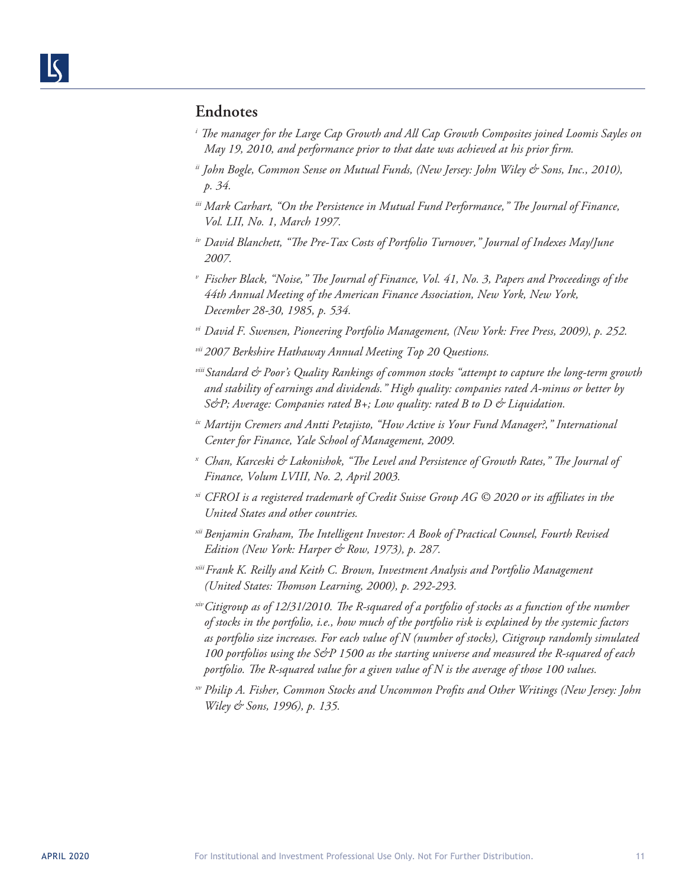# **Endnotes**

- *i The manager for the Large Cap Growth and All Cap Growth Composites joined Loomis Sayles on May 19, 2010, and performance prior to that date was achieved at his prior firm.*
- *ii John Bogle, Common Sense on Mutual Funds, (New Jersey: John Wiley & Sons, Inc., 2010), p. 34.*
- *iii Mark Carhart, "On the Persistence in Mutual Fund Performance," The Journal of Finance, Vol. LII, No. 1, March 1997.*
- *iv David Blanchett, "The Pre-Tax Costs of Portfolio Turnover," Journal of Indexes May/June 2007.*
- *<sup>v</sup> Fischer Black, "Noise," The Journal of Finance, Vol. 41, No. 3, Papers and Proceedings of the 44th Annual Meeting of the American Finance Association, New York, New York, December 28-30, 1985, p. 534.*
- *vi David F. Swensen, Pioneering Portfolio Management, (New York: Free Press, 2009), p. 252.*
- *vii 2007 Berkshire Hathaway Annual Meeting Top 20 Questions.*
- *viiiStandard & Poor's Quality Rankings of common stocks "attempt to capture the long-term growth and stability of earnings and dividends." High quality: companies rated A-minus or better by S&P; Average: Companies rated B+; Low quality: rated B to D & Liquidation.*
- *ix Martijn Cremers and Antti Petajisto, "How Active is Your Fund Manager?," International Center for Finance, Yale School of Management, 2009.*
- *<sup>x</sup> Chan, Karceski & Lakonishok, "The Level and Persistence of Growth Rates," The Journal of Finance, Volum LVIII, No. 2, April 2003.*
- *xi CFROI is a registered trademark of Credit Suisse Group AG © 2020 or its affiliates in the United States and other countries.*
- *xii Benjamin Graham, The Intelligent Investor: A Book of Practical Counsel, Fourth Revised Edition (New York: Harper & Row, 1973), p. 287.*
- *xiiiFrank K. Reilly and Keith C. Brown, Investment Analysis and Portfolio Management (United States: Thomson Learning, 2000), p. 292-293.*
- *xivCitigroup as of 12/31/2010. The R-squared of a portfolio of stocks as a function of the number of stocks in the portfolio, i.e., how much of the portfolio risk is explained by the systemic factors as portfolio size increases. For each value of N (number of stocks), Citigroup randomly simulated 100 portfolios using the S&P 1500 as the starting universe and measured the R-squared of each portfolio. The R-squared value for a given value of N is the average of those 100 values.*
- *xv Philip A. Fisher, Common Stocks and Uncommon Profits and Other Writings (New Jersey: John Wiley & Sons, 1996), p. 135.*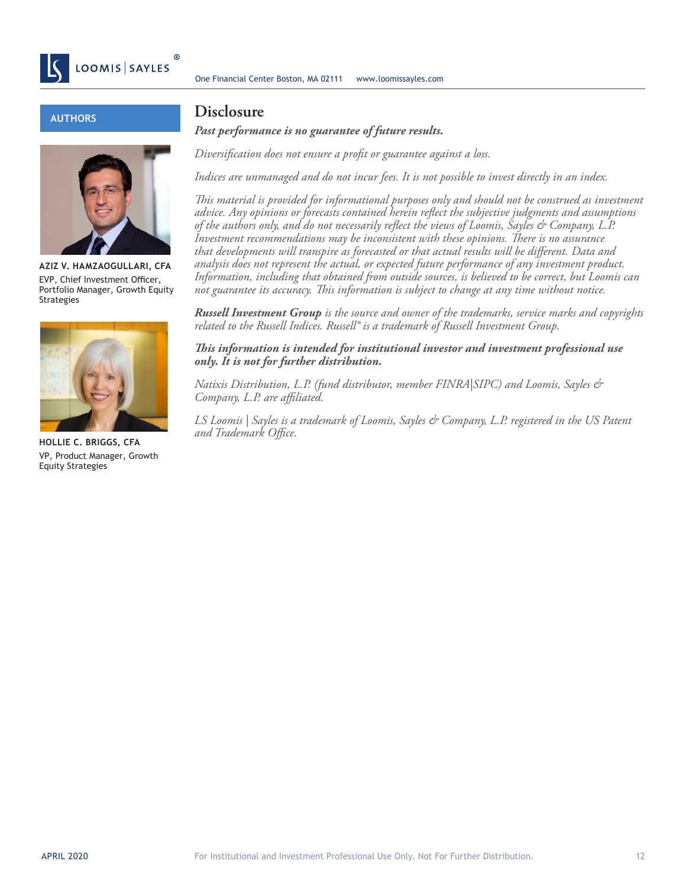

# **AUTHORS**



**AZIZ V. HAMZAOGULLARI, CFA** EVP, Chief Investment Officer, Portfolio Manager, Growth Equity Strategies



**HOLLIE C. BRIGGS, CFA** VP, Product Manager, Growth Equity Strategies

# **Disclosure**

*Past performance is no guarantee of future results.*

*Diversification does not ensure a profit or guarantee against a loss.*

*Indices are unmanaged and do not incur fees. It is not possible to invest directly in an index.*

*This material is provided for informational purposes only and should not be construed as investment advice. Any opinions or forecasts contained herein reflect the subjective judgments and assumptions of the authors only, and do not necessarily reflect the views of Loomis, Sayles & Company, L.P. Investment recommendations may be inconsistent with these opinions. There is no assurance that developments will transpire as forecasted or that actual results will be different. Data and analysis does not represent the actual, or expected future performance of any investment product. Information, including that obtained from outside sources, is believed to be correct, but Loomis can not guarantee its accuracy. This information is subject to change at any time without notice.*

*Russell Investment Group is the source and owner of the trademarks, service marks and copyrights related to the Russell Indices. Russell® is a trademark of Russell Investment Group.* 

*This information is intended for institutional investor and investment professional use only. It is not for further distribution.*

*Natixis Distribution, L.P. (fund distributor, member FINRA|SIPC) and Loomis, Sayles & Company, L.P. are affiliated.*

*LS Loomis | Sayles is a trademark of Loomis, Sayles & Company, L.P. registered in the US Patent and Trademark Office.*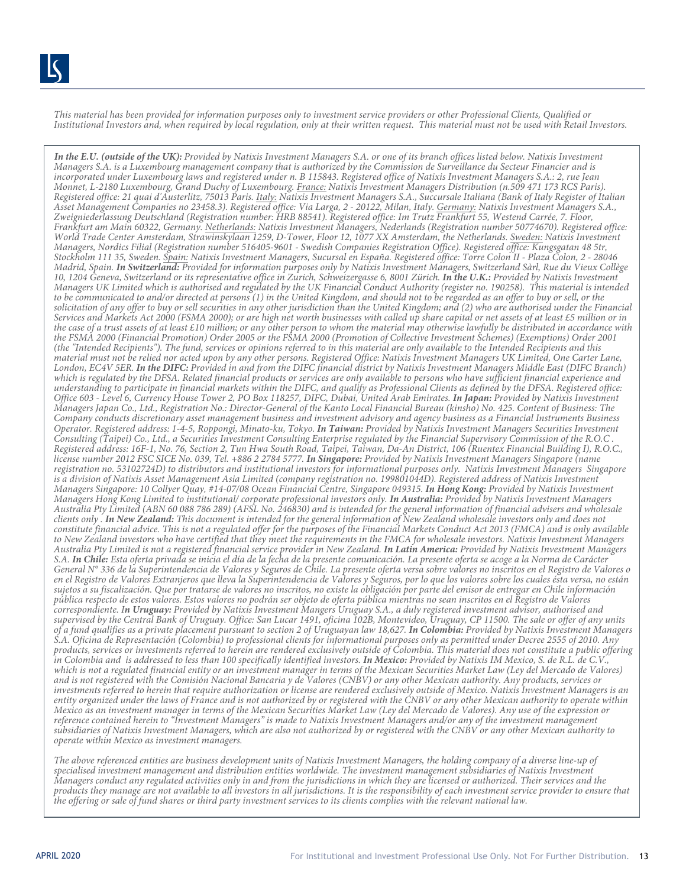*This material has been provided for information purposes only to investment service providers or other Professional Clients, Qualified or Institutional Investors and, when required by local regulation, only at their written request. This material must not be used with Retail Investors.* 

*In the E.U. (outside of the UK): Provided by Natixis Investment Managers S.A. or one of its branch offices listed below. Natixis Investment Managers S.A. is a Luxembourg management company that is authorized by the Commission de Surveillance du Secteur Financier and is incorporated under Luxembourg laws and registered under n. B 115843. Registered office of Natixis Investment Managers S.A.: 2, rue Jean Monnet, L-2180 Luxembourg, Grand Duchy of Luxembourg. France: Natixis Investment Managers Distribution (n.509 471 173 RCS Paris). Registered office: 21 quai d'Austerlitz, 75013 Paris. Italy: Natixis Investment Managers S.A., Succursale Italiana (Bank of Italy Register of Italian Asset Management Companies no 23458.3). Registered office: Via Larga, 2 - 20122, Milan, Italy. Germany: Natixis Investment Managers S.A., Zweigniederlassung Deutschland (Registration number: HRB 88541). Registered office: Im Trutz Frankfurt 55, Westend Carrée, 7. Floor, Frankfurt am Main 60322, Germany. Netherlands: Natixis Investment Managers, Nederlands (Registration number 50774670). Registered office: World Trade Center Amsterdam, Strawinskylaan 1259, D-Tower, Floor 12, 1077 XX Amsterdam, the Netherlands. Sweden: Natixis Investment Managers, Nordics Filial (Registration number 516405-9601 - Swedish Companies Registration Office). Registered office: Kungsgatan 48 5tr, Stockholm 111 35, Sweden. Spain: Natixis Investment Managers, Sucursal en España. Registered office: Torre Colon II - Plaza Colon, 2 - 28046 Madrid, Spain. In Switzerland: Provided for information purposes only by Natixis Investment Managers, Switzerland Sàrl, Rue du Vieux Collège 10, 1204 Geneva, Switzerland or its representative office in Zurich, Schweizergasse 6, 8001 Zürich. In the U.K.: Provided by Natixis Investment Managers UK Limited which is authorised and regulated by the UK Financial Conduct Authority (register no. 190258). This material is intended*  to be communicated to and/or directed at persons (1) in the United Kingdom, and should not to be regarded as an offer to buy or sell, or the *solicitation of any offer to buy or sell securities in any other jurisdiction than the United Kingdom; and (2) who are authorised under the Financial Services and Markets Act 2000 (FSMA 2000); or are high net worth businesses with called up share capital or net assets of at least £5 million or in the case of a trust assets of at least £10 million; or any other person to whom the material may otherwise lawfully be distributed in accordance with the FSMA 2000 (Financial Promotion) Order 2005 or the FSMA 2000 (Promotion of Collective Investment Schemes) (Exemptions) Order 2001 (the "Intended Recipients"). The fund, services or opinions referred to in this material are only available to the Intended Recipients and this material must not be relied nor acted upon by any other persons. Registered Office: Natixis Investment Managers UK Limited, One Carter Lane, London, EC4V 5ER. In the DIFC: Provided in and from the DIFC financial district by Natixis Investment Managers Middle East (DIFC Branch) which is regulated by the DFSA. Related financial products or services are only available to persons who have sufficient financial experience and understanding to participate in financial markets within the DIFC, and qualify as Professional Clients as defined by the DFSA. Registered office: Office 603 - Level 6, Currency House Tower 2, PO Box 118257, DIFC, Dubai, United Arab Emirates. In Japan: Provided by Natixis Investment Managers Japan Co., Ltd., Registration No.: Director-General of the Kanto Local Financial Bureau (kinsho) No. 425. Content of Business: The Company conducts discretionary asset management business and investment advisory and agency business as a Financial Instruments Business Operator. Registered address: 1-4-5, Roppongi, Minato-ku, Tokyo. In Taiwan: Provided by Natixis Investment Managers Securities Investment Consulting (Taipei) Co., Ltd., a Securities Investment Consulting Enterprise regulated by the Financial Supervisory Commission of the R.O.C . Registered address: 16F-1, No. 76, Section 2, Tun Hwa South Road, Taipei, Taiwan, Da-An District, 106 (Ruentex Financial Building I), R.O.C., license number 2012 FSC SICE No. 039, Tel. +886 2 2784 5777. In Singapore: Provided by Natixis Investment Managers Singapore (name registration no. 53102724D) to distributors and institutional investors for informational purposes only. Natixis Investment Managers Singapore is a division of Natixis Asset Management Asia Limited (company registration no. 199801044D). Registered address of Natixis Investment Managers Singapore: 10 Collyer Quay, #14-07/08 Ocean Financial Centre, Singapore 049315. In Hong Kong: Provided by Natixis Investment Managers Hong Kong Limited to institutional/ corporate professional investors only. In Australia: Provided by Natixis Investment Managers Australia Pty Limited (ABN 60 088 786 289) (AFSL No. 246830) and is intended for the general information of financial advisers and wholesale clients only . In New Zealand: This document is intended for the general information of New Zealand wholesale investors only and does not constitute financial advice. This is not a regulated offer for the purposes of the Financial Markets Conduct Act 2013 (FMCA) and is only available to New Zealand investors who have certified that they meet the requirements in the FMCA for wholesale investors. Natixis Investment Managers Australia Pty Limited is not a registered financial service provider in New Zealand. In Latin America: Provided by Natixis Investment Managers S.A. In Chile: Esta oferta privada se inicia el día de la fecha de la presente comunicación. La presente oferta se acoge a la Norma de Carácter General N° 336 de la Superintendencia de Valores y Seguros de Chile. La presente oferta versa sobre valores no inscritos en el Registro de Valores o en el Registro de Valores Extranjeros que lleva la Superintendencia de Valores y Seguros, por lo que los valores sobre los cuales ésta versa, no están sujetos a su fiscalización. Que por tratarse de valores no inscritos, no existe la obligación por parte del emisor de entregar en Chile información pública respecto de estos valores. Estos valores no podrán ser objeto de oferta pública mientras no sean inscritos en el Registro de Valores correspondiente. In Uruguay: Provided by Natixis Investment Mangers Uruguay S.A., a duly registered investment advisor, authorised and supervised by the Central Bank of Uruguay. Office: San Lucar 1491, oficina 102B, Montevideo, Uruguay, CP 11500. The sale or offer of any units of a fund qualifies as a private placement pursuant to section 2 of Uruguayan law 18,627. In Colombia: Provided by Natixis Investment Managers S.A. Oficina de Representación (Colombia) to professional clients for informational purposes only as permitted under Decree 2555 of 2010. Any products, services or investments referred to herein are rendered exclusively outside of Colombia. This material does not constitute a public offering in Colombia and is addressed to less than 100 specifically identified investors. In Mexico: Provided by Natixis IM Mexico, S. de R.L. de C.V., which is not a regulated financial entity or an investment manager in terms of the Mexican Securities Market Law (Ley del Mercado de Valores) and is not registered with the Comisión Nacional Bancaria y de Valores (CNBV) or any other Mexican authority. Any products, services or investments referred to herein that require authorization or license are rendered exclusively outside of Mexico. Natixis Investment Managers is an entity organized under the laws of France and is not authorized by or registered with the CNBV or any other Mexican authority to operate within Mexico as an investment manager in terms of the Mexican Securities Market Law (Ley del Mercado de Valores). Any use of the expression or reference contained herein to "Investment Managers" is made to Natixis Investment Managers and/or any of the investment management subsidiaries of Natixis Investment Managers, which are also not authorized by or registered with the CNBV or any other Mexican authority to operate within Mexico as investment managers.*

*The above referenced entities are business development units of Natixis Investment Managers, the holding company of a diverse line-up of specialised investment management and distribution entities worldwide. The investment management subsidiaries of Natixis Investment Managers conduct any regulated activities only in and from the jurisdictions in which they are licensed or authorized. Their services and the products they manage are not available to all investors in all jurisdictions. It is the responsibility of each investment service provider to ensure that the offering or sale of fund shares or third party investment services to its clients complies with the relevant national law.*